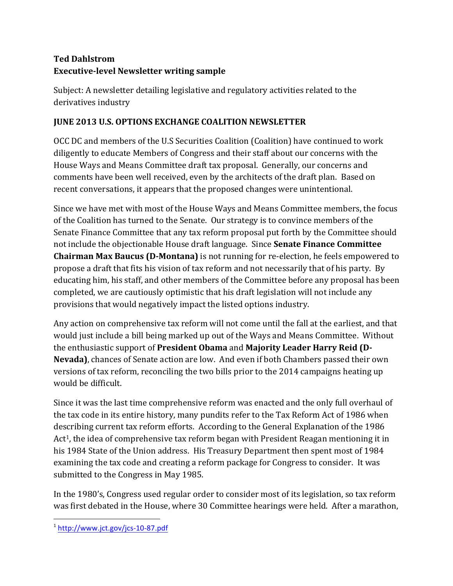## **Ted Dahlstrom Executive-level Newsletter writing sample**

Subject: A newsletter detailing legislative and regulatory activities related to the derivatives industry

## **JUNE 2013 U.S. OPTIONS EXCHANGE COALITION NEWSLETTER**

OCC DC and members of the U.S Securities Coalition (Coalition) have continued to work diligently to educate Members of Congress and their staff about our concerns with the House Ways and Means Committee draft tax proposal. Generally, our concerns and comments have been well received, even by the architects of the draft plan. Based on recent conversations, it appears that the proposed changes were unintentional.

Since we have met with most of the House Ways and Means Committee members, the focus of the Coalition has turned to the Senate. Our strategy is to convince members of the Senate Finance Committee that any tax reform proposal put forth by the Committee should not include the objectionable House draft language. Since **Senate Finance Committee Chairman Max Baucus (D-Montana)** is not running for re-election, he feels empowered to propose a draft that fits his vision of tax reform and not necessarily that of his party. By educating him, his staff, and other members of the Committee before any proposal has been completed, we are cautiously optimistic that his draft legislation will not include any provisions that would negatively impact the listed options industry.

Any action on comprehensive tax reform will not come until the fall at the earliest, and that would just include a bill being marked up out of the Ways and Means Committee. Without the enthusiastic support of President Obama and Majority Leader Harry Reid (D-**Nevada**), chances of Senate action are low. And even if both Chambers passed their own versions of tax reform, reconciling the two bills prior to the 2014 campaigns heating up would be difficult.

Since it was the last time comprehensive reform was enacted and the only full overhaul of the tax code in its entire history, many pundits refer to the Tax Reform Act of 1986 when describing current tax reform efforts. According to the General Explanation of the 1986 Act<sup>1</sup>, the idea of comprehensive tax reform began with President Reagan mentioning it in his 1984 State of the Union address. His Treasury Department then spent most of 1984 examining the tax code and creating a reform package for Congress to consider. It was submitted to the Congress in May 1985.

In the 1980's, Congress used regular order to consider most of its legislation, so tax reform was first debated in the House, where 30 Committee hearings were held. After a marathon,

<sup>&</sup>lt;u> Andrew Maria (1989)</u> <sup>1</sup> http://www.jct.gov/jcs-10-87.pdf